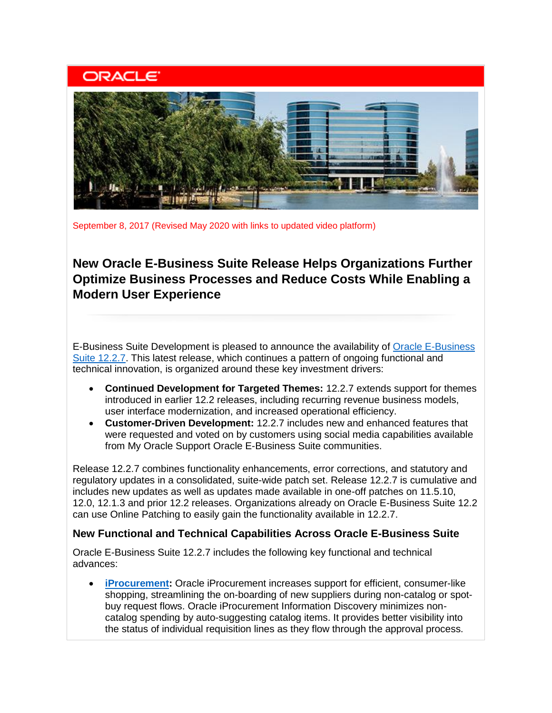## **ORACLE**



September 8, 2017 (Revised May 2020 with links to updated video platform)

### **New Oracle E-Business Suite Release Helps Organizations Further Optimize Business Processes and Reduce Costs While Enabling a Modern User Experience**

E-Business Suite Development is pleased to announce the availability of [Oracle E-Business](https://learn.oracle.com/ols/course/50662/60179)  [Suite 12.2.7.](https://learn.oracle.com/ols/course/50662/60179) This latest release, which continues a pattern of ongoing functional and technical innovation, is organized around these key investment drivers:

- **Continued Development for Targeted Themes:** 12.2.7 extends support for themes introduced in earlier 12.2 releases, including recurring revenue business models, user interface modernization, and increased operational efficiency.
- **Customer-Driven Development:** 12.2.7 includes new and enhanced features that were requested and voted on by customers using social media capabilities available from My Oracle Support Oracle E-Business Suite communities.

Release 12.2.7 combines functionality enhancements, error corrections, and statutory and regulatory updates in a consolidated, suite-wide patch set. Release 12.2.7 is cumulative and includes new updates as well as updates made available in one-off patches on 11.5.10, 12.0, 12.1.3 and prior 12.2 releases. Organizations already on Oracle E-Business Suite 12.2 can use Online Patching to easily gain the functionality available in 12.2.7.

#### **New Functional and Technical Capabilities Across Oracle E-Business Suite**

Oracle E-Business Suite 12.2.7 includes the following key functional and technical advances:

• **[iProcurement:](https://www.oracle.com/applications/ebusiness/products.html#procurement)** Oracle iProcurement increases support for efficient, consumer-like shopping, streamlining the on-boarding of new suppliers during non-catalog or spotbuy request flows. Oracle iProcurement Information Discovery minimizes noncatalog spending by auto-suggesting catalog items. It provides better visibility into the status of individual requisition lines as they flow through the approval process.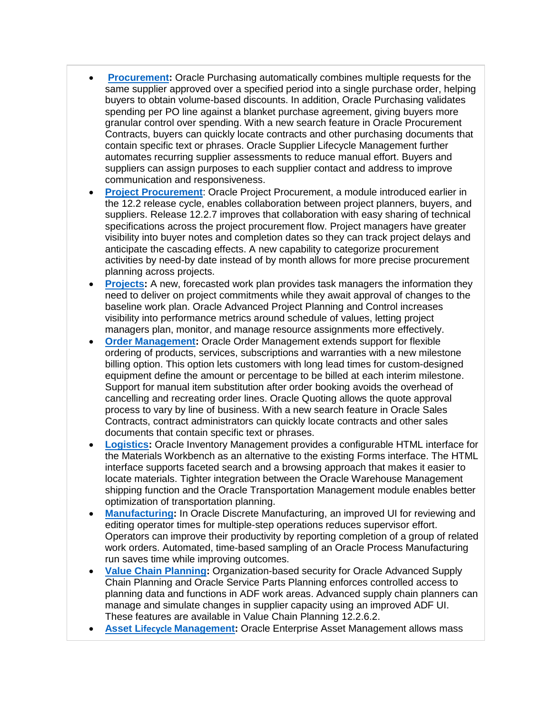- **[Procurement:](https://www.oracle.com/applications/ebusiness/products.html#procurement)** Oracle Purchasing automatically combines multiple requests for the same supplier approved over a specified period into a single purchase order, helping buyers to obtain volume-based discounts. In addition, Oracle Purchasing validates spending per PO line against a blanket purchase agreement, giving buyers more granular control over spending. With a new search feature in Oracle Procurement Contracts, buyers can quickly locate contracts and other purchasing documents that contain specific text or phrases. Oracle Supplier Lifecycle Management further automates recurring supplier assessments to reduce manual effort. Buyers and suppliers can assign purposes to each supplier contact and address to improve communication and responsiveness.
- **[Project Procurement](https://www.oracle.com/applications/ebusiness/products.html#procurement)**: Oracle Project Procurement, a module introduced earlier in the 12.2 release cycle, enables collaboration between project planners, buyers, and suppliers. Release 12.2.7 improves that collaboration with easy sharing of technical specifications across the project procurement flow. Project managers have greater visibility into buyer notes and completion dates so they can track project delays and anticipate the cascading effects. A new capability to categorize procurement activities by need-by date instead of by month allows for more precise procurement planning across projects.
- **[Projects:](https://www.oracle.com/applications/ebusiness/products.html#projects)** A new, forecasted work plan provides task managers the information they need to deliver on project commitments while they await approval of changes to the baseline work plan. Oracle Advanced Project Planning and Control increases visibility into performance metrics around schedule of values, letting project managers plan, monitor, and manage resource assignments more effectively.
- **[Order Management:](https://www.oracle.com/applications/ebusiness/products.html#order)** Oracle Order Management extends support for flexible ordering of products, services, subscriptions and warranties with a new milestone billing option. This option lets customers with long lead times for custom-designed equipment define the amount or percentage to be billed at each interim milestone. Support for manual item substitution after order booking avoids the overhead of cancelling and recreating order lines. Oracle Quoting allows the quote approval process to vary by line of business. With a new search feature in Oracle Sales Contracts, contract administrators can quickly locate contracts and other sales documents that contain specific text or phrases.
- **[Logistics:](https://www.oracle.com/applications/ebusiness/products.html#logistics)** Oracle Inventory Management provides a configurable HTML interface for the Materials Workbench as an alternative to the existing Forms interface. The HTML interface supports faceted search and a browsing approach that makes it easier to locate materials. Tighter integration between the Oracle Warehouse Management shipping function and the Oracle Transportation Management module enables better optimization of transportation planning.
- **[Manufacturing:](https://www.oracle.com/applications/ebusiness/products.html#manufacturing)** In Oracle Discrete Manufacturing, an improved UI for reviewing and editing operator times for multiple-step operations reduces supervisor effort. Operators can improve their productivity by reporting completion of a group of related work orders. Automated, time-based sampling of an Oracle Process Manufacturing run saves time while improving outcomes.
- **[Value Chain Planning:](https://www.oracle.com/applications/ebusiness/products.html)** Organization-based security for Oracle Advanced Supply Chain Planning and Oracle Service Parts Planning enforces controlled access to planning data and functions in ADF work areas. Advanced supply chain planners can manage and simulate changes in supplier capacity using an improved ADF UI. These features are available in Value Chain Planning 12.2.6.2.
- **Asset Lifecycle [Management:](https://www.oracle.com/applications/ebusiness/products.html#assetlifecycle)** Oracle Enterprise Asset Management allows mass